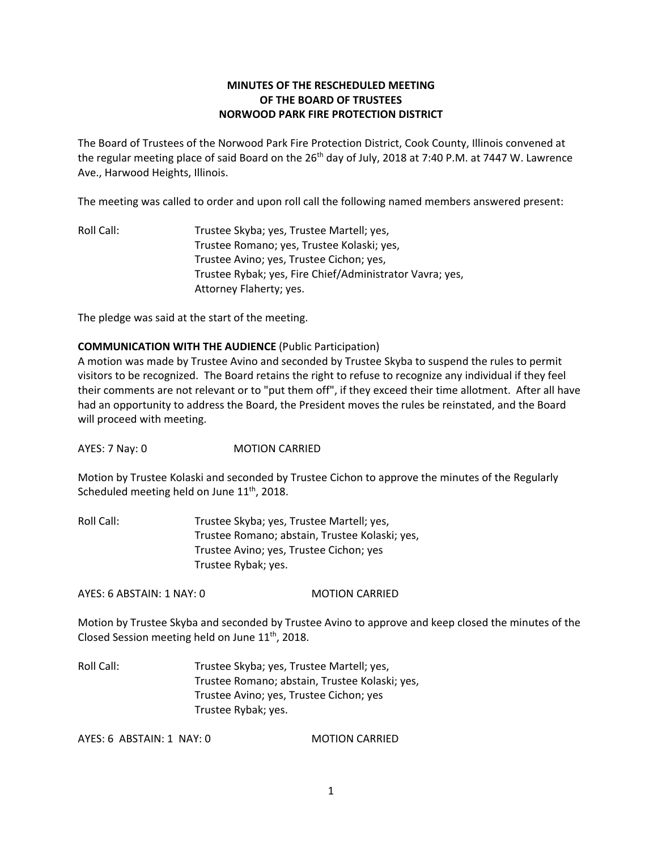# **MINUTES OF THE RESCHEDULED MEETING OF THE BOARD OF TRUSTEES NORWOOD PARK FIRE PROTECTION DISTRICT**

The Board of Trustees of the Norwood Park Fire Protection District, Cook County, Illinois convened at the regular meeting place of said Board on the 26<sup>th</sup> day of July, 2018 at 7:40 P.M. at 7447 W. Lawrence Ave., Harwood Heights, Illinois.

The meeting was called to order and upon roll call the following named members answered present:

Roll Call: Trustee Skyba; yes, Trustee Martell; yes, Trustee Romano; yes, Trustee Kolaski; yes, Trustee Avino; yes, Trustee Cichon; yes, Trustee Rybak; yes, Fire Chief/Administrator Vavra; yes, Attorney Flaherty; yes.

The pledge was said at the start of the meeting.

## **COMMUNICATION WITH THE AUDIENCE** (Public Participation)

A motion was made by Trustee Avino and seconded by Trustee Skyba to suspend the rules to permit visitors to be recognized. The Board retains the right to refuse to recognize any individual if they feel their comments are not relevant or to "put them off", if they exceed their time allotment. After all have had an opportunity to address the Board, the President moves the rules be reinstated, and the Board will proceed with meeting.

AYES: 7 Nay: 0 MOTION CARRIED

Motion by Trustee Kolaski and seconded by Trustee Cichon to approve the minutes of the Regularly Scheduled meeting held on June 11<sup>th</sup>, 2018.

Roll Call: Trustee Skyba; yes, Trustee Martell; yes, Trustee Romano; abstain, Trustee Kolaski; yes, Trustee Avino; yes, Trustee Cichon; yes Trustee Rybak; yes.

AYES: 6 ABSTAIN: 1 NAY: 0 MOTION CARRIED

Motion by Trustee Skyba and seconded by Trustee Avino to approve and keep closed the minutes of the Closed Session meeting held on June 11<sup>th</sup>, 2018.

Roll Call: Trustee Skyba; yes, Trustee Martell; yes, Trustee Romano; abstain, Trustee Kolaski; yes, Trustee Avino; yes, Trustee Cichon; yes Trustee Rybak; yes.

AYES: 6 ABSTAIN: 1 NAY: 0 MOTION CARRIED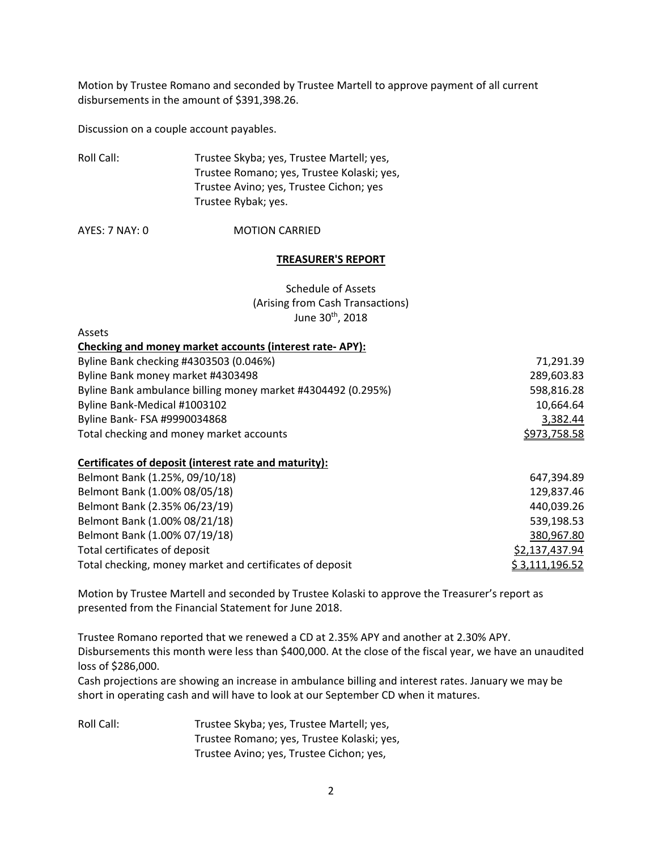Motion by Trustee Romano and seconded by Trustee Martell to approve payment of all current disbursements in the amount of \$391,398.26.

Discussion on a couple account payables.

| Roll Call: | Trustee Skyba; yes, Trustee Martell; yes,  |
|------------|--------------------------------------------|
|            | Trustee Romano; yes, Trustee Kolaski; yes, |
|            | Trustee Avino; yes, Trustee Cichon; yes    |
|            | Trustee Rybak; yes.                        |

AYES: 7 NAY: 0 **MOTION CARRIED** 

#### **TREASURER'S REPORT**

# Schedule of Assets (Arising from Cash Transactions) June 30<sup>th</sup>, 2018

Assets

| Checking and money market accounts (interest rate-APY):      |              |
|--------------------------------------------------------------|--------------|
| Byline Bank checking #4303503 (0.046%)                       | 71,291.39    |
| Byline Bank money market #4303498                            | 289,603.83   |
| Byline Bank ambulance billing money market #4304492 (0.295%) | 598,816.28   |
| Byline Bank-Medical #1003102                                 | 10,664.64    |
| Byline Bank- FSA #9990034868                                 | 3,382.44     |
| Total checking and money market accounts                     | \$973,758.58 |

#### **Certificates of deposit (interest rate and maturity):**

| Belmont Bank (1.25%, 09/10/18)                           | 647,394.89     |
|----------------------------------------------------------|----------------|
| Belmont Bank (1.00% 08/05/18)                            | 129,837.46     |
| Belmont Bank (2.35% 06/23/19)                            | 440,039.26     |
| Belmont Bank (1.00% 08/21/18)                            | 539,198.53     |
| Belmont Bank (1.00% 07/19/18)                            | 380,967.80     |
| Total certificates of deposit                            | \$2,137,437.94 |
| Total checking, money market and certificates of deposit | \$3,111,196.52 |

Motion by Trustee Martell and seconded by Trustee Kolaski to approve the Treasurer's report as presented from the Financial Statement for June 2018.

Trustee Romano reported that we renewed a CD at 2.35% APY and another at 2.30% APY. Disbursements this month were less than \$400,000. At the close of the fiscal year, we have an unaudited loss of \$286,000.

Cash projections are showing an increase in ambulance billing and interest rates. January we may be short in operating cash and will have to look at our September CD when it matures.

Roll Call: Trustee Skyba; yes, Trustee Martell; yes, Trustee Romano; yes, Trustee Kolaski; yes, Trustee Avino; yes, Trustee Cichon; yes,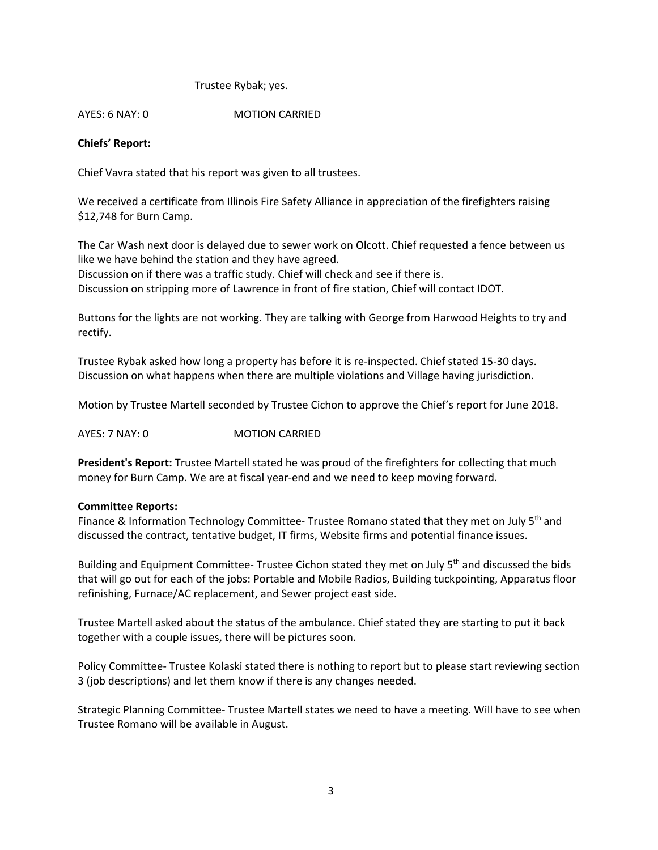## Trustee Rybak; yes.

AYES: 6 NAY: 0 MOTION CARRIED

## **Chiefs' Report:**

Chief Vavra stated that his report was given to all trustees.

We received a certificate from Illinois Fire Safety Alliance in appreciation of the firefighters raising \$12,748 for Burn Camp.

The Car Wash next door is delayed due to sewer work on Olcott. Chief requested a fence between us like we have behind the station and they have agreed.

Discussion on if there was a traffic study. Chief will check and see if there is.

Discussion on stripping more of Lawrence in front of fire station, Chief will contact IDOT.

Buttons for the lights are not working. They are talking with George from Harwood Heights to try and rectify.

Trustee Rybak asked how long a property has before it is re-inspected. Chief stated 15-30 days. Discussion on what happens when there are multiple violations and Village having jurisdiction.

Motion by Trustee Martell seconded by Trustee Cichon to approve the Chief's report for June 2018.

AYES: 7 NAY: 0 MOTION CARRIED

**President's Report:** Trustee Martell stated he was proud of the firefighters for collecting that much money for Burn Camp. We are at fiscal year-end and we need to keep moving forward.

#### **Committee Reports:**

Finance & Information Technology Committee- Trustee Romano stated that they met on July  $5<sup>th</sup>$  and discussed the contract, tentative budget, IT firms, Website firms and potential finance issues.

Building and Equipment Committee- Trustee Cichon stated they met on July 5<sup>th</sup> and discussed the bids that will go out for each of the jobs: Portable and Mobile Radios, Building tuckpointing, Apparatus floor refinishing, Furnace/AC replacement, and Sewer project east side.

Trustee Martell asked about the status of the ambulance. Chief stated they are starting to put it back together with a couple issues, there will be pictures soon.

Policy Committee- Trustee Kolaski stated there is nothing to report but to please start reviewing section 3 (job descriptions) and let them know if there is any changes needed.

Strategic Planning Committee- Trustee Martell states we need to have a meeting. Will have to see when Trustee Romano will be available in August.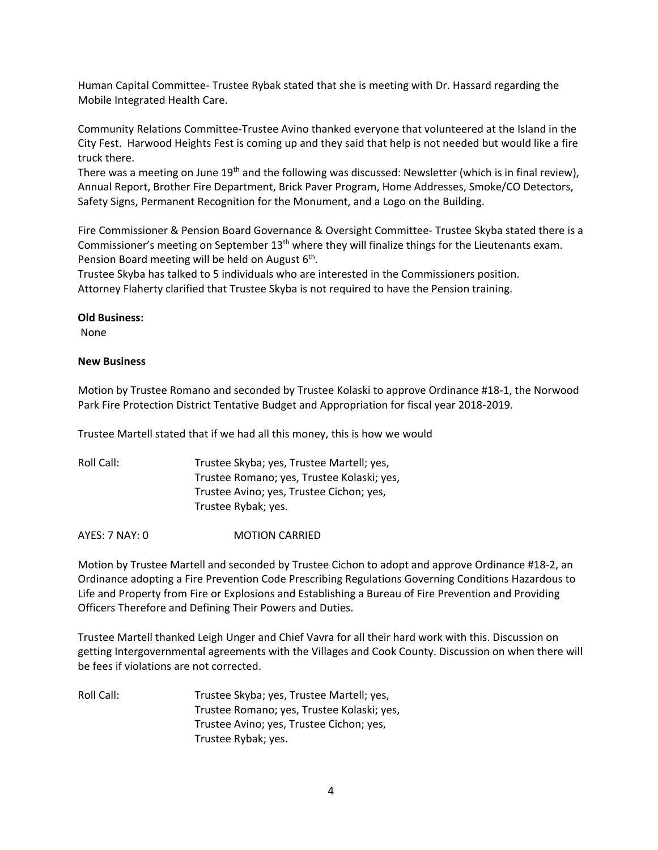Human Capital Committee- Trustee Rybak stated that she is meeting with Dr. Hassard regarding the Mobile Integrated Health Care.

Community Relations Committee-Trustee Avino thanked everyone that volunteered at the Island in the City Fest. Harwood Heights Fest is coming up and they said that help is not needed but would like a fire truck there.

There was a meeting on June 19<sup>th</sup> and the following was discussed: Newsletter (which is in final review), Annual Report, Brother Fire Department, Brick Paver Program, Home Addresses, Smoke/CO Detectors, Safety Signs, Permanent Recognition for the Monument, and a Logo on the Building.

Fire Commissioner & Pension Board Governance & Oversight Committee- Trustee Skyba stated there is a Commissioner's meeting on September  $13<sup>th</sup>$  where they will finalize things for the Lieutenants exam. Pension Board meeting will be held on August  $6<sup>th</sup>$ .

Trustee Skyba has talked to 5 individuals who are interested in the Commissioners position. Attorney Flaherty clarified that Trustee Skyba is not required to have the Pension training.

#### **Old Business:**

None

#### **New Business**

Motion by Trustee Romano and seconded by Trustee Kolaski to approve Ordinance #18-1, the Norwood Park Fire Protection District Tentative Budget and Appropriation for fiscal year 2018-2019.

Trustee Martell stated that if we had all this money, this is how we would

| Roll Call: | Trustee Skyba; yes, Trustee Martell; yes,  |
|------------|--------------------------------------------|
|            | Trustee Romano; yes, Trustee Kolaski; yes, |
|            | Trustee Avino; yes, Trustee Cichon; yes,   |
|            | Trustee Rybak; yes.                        |
|            |                                            |

AYES: 7 NAY: 0 MOTION CARRIED

Motion by Trustee Martell and seconded by Trustee Cichon to adopt and approve Ordinance #18-2, an Ordinance adopting a Fire Prevention Code Prescribing Regulations Governing Conditions Hazardous to Life and Property from Fire or Explosions and Establishing a Bureau of Fire Prevention and Providing Officers Therefore and Defining Their Powers and Duties.

Trustee Martell thanked Leigh Unger and Chief Vavra for all their hard work with this. Discussion on getting Intergovernmental agreements with the Villages and Cook County. Discussion on when there will be fees if violations are not corrected.

Roll Call: Trustee Skyba; yes, Trustee Martell; yes, Trustee Romano; yes, Trustee Kolaski; yes, Trustee Avino; yes, Trustee Cichon; yes, Trustee Rybak; yes.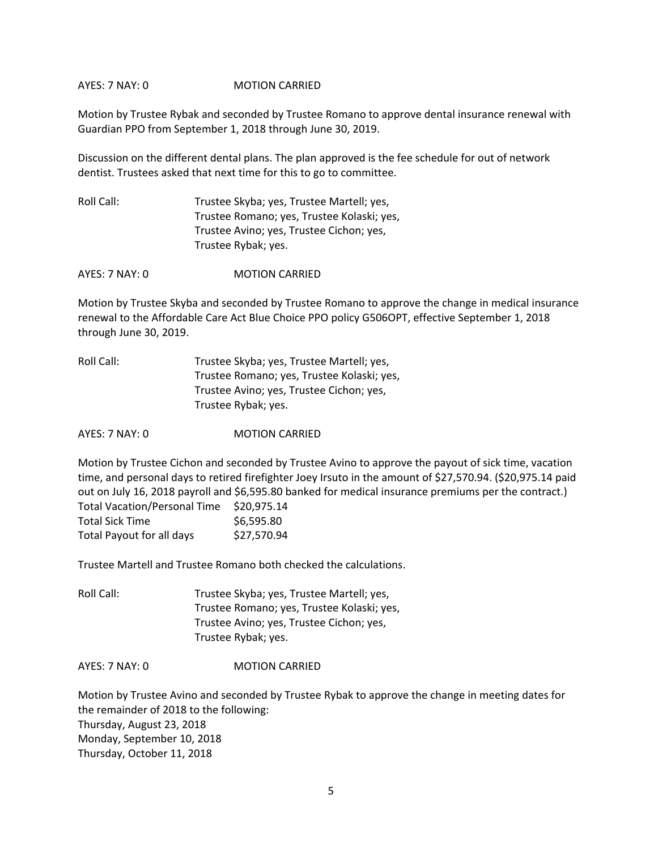AYES: 7 NAY: 0 MOTION CARRIED

Motion by Trustee Rybak and seconded by Trustee Romano to approve dental insurance renewal with Guardian PPO from September 1, 2018 through June 30, 2019.

Discussion on the different dental plans. The plan approved is the fee schedule for out of network dentist. Trustees asked that next time for this to go to committee.

Roll Call: Trustee Skyba; yes, Trustee Martell; yes, Trustee Romano; yes, Trustee Kolaski; yes, Trustee Avino; yes, Trustee Cichon; yes, Trustee Rybak; yes.

AYES: 7 NAY: 0 MOTION CARRIED

Motion by Trustee Skyba and seconded by Trustee Romano to approve the change in medical insurance renewal to the Affordable Care Act Blue Choice PPO policy G506OPT, effective September 1, 2018 through June 30, 2019.

| Roll Call: | Trustee Skyba; yes, Trustee Martell; yes,  |
|------------|--------------------------------------------|
|            | Trustee Romano; yes, Trustee Kolaski; yes, |
|            | Trustee Avino; yes, Trustee Cichon; yes,   |
|            | Trustee Rybak; yes.                        |

AYES: 7 NAY: 0 MOTION CARRIED

Motion by Trustee Cichon and seconded by Trustee Avino to approve the payout of sick time, vacation time, and personal days to retired firefighter Joey Irsuto in the amount of \$27,570.94. (\$20,975.14 paid out on July 16, 2018 payroll and \$6,595.80 banked for medical insurance premiums per the contract.) Total Vacation/Personal Time \$20,975.14

| TOLdi Vacation/Personal Time | <b>DZU,Y/J.14</b> |
|------------------------------|-------------------|
| <b>Total Sick Time</b>       | \$6,595.80        |
| Total Payout for all days    | \$27,570.94       |

Trustee Martell and Trustee Romano both checked the calculations.

Roll Call: Trustee Skyba; yes, Trustee Martell; yes, Trustee Romano; yes, Trustee Kolaski; yes, Trustee Avino; yes, Trustee Cichon; yes, Trustee Rybak; yes.

AYES: 7 NAY: 0 MOTION CARRIED

Motion by Trustee Avino and seconded by Trustee Rybak to approve the change in meeting dates for the remainder of 2018 to the following: Thursday, August 23, 2018 Monday, September 10, 2018 Thursday, October 11, 2018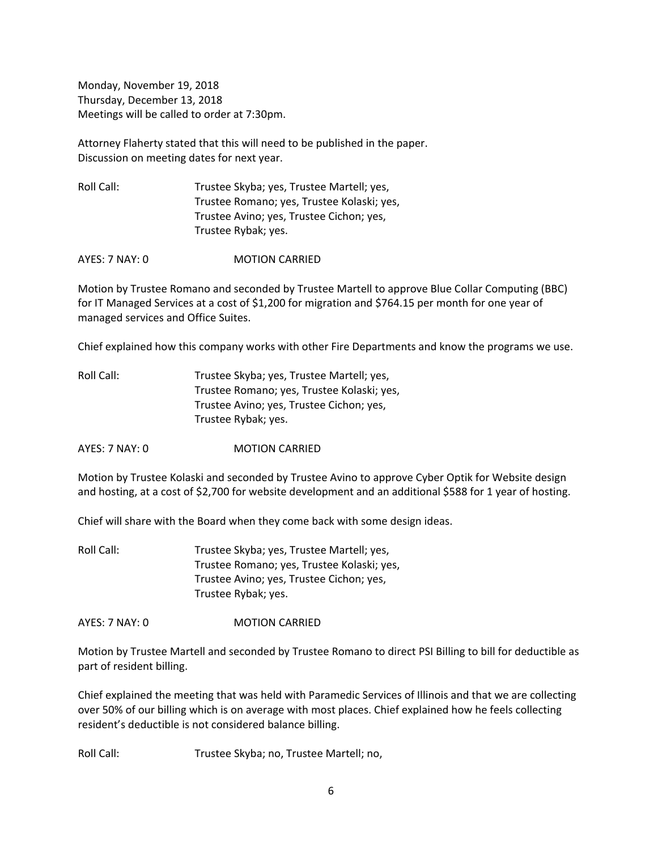Monday, November 19, 2018 Thursday, December 13, 2018 Meetings will be called to order at 7:30pm.

Attorney Flaherty stated that this will need to be published in the paper. Discussion on meeting dates for next year.

Roll Call: Trustee Skyba; yes, Trustee Martell; yes, Trustee Romano; yes, Trustee Kolaski; yes, Trustee Avino; yes, Trustee Cichon; yes, Trustee Rybak; yes.

AYES: 7 NAY: 0 MOTION CARRIED

Motion by Trustee Romano and seconded by Trustee Martell to approve Blue Collar Computing (BBC) for IT Managed Services at a cost of \$1,200 for migration and \$764.15 per month for one year of managed services and Office Suites.

Chief explained how this company works with other Fire Departments and know the programs we use.

| Roll Call: | Trustee Skyba; yes, Trustee Martell; yes,  |
|------------|--------------------------------------------|
|            | Trustee Romano; yes, Trustee Kolaski; yes, |
|            | Trustee Avino; yes, Trustee Cichon; yes,   |
|            | Trustee Rybak; yes.                        |

AYES: 7 NAY: 0 MOTION CARRIED

Motion by Trustee Kolaski and seconded by Trustee Avino to approve Cyber Optik for Website design and hosting, at a cost of \$2,700 for website development and an additional \$588 for 1 year of hosting.

Chief will share with the Board when they come back with some design ideas.

Roll Call: Trustee Skyba; yes, Trustee Martell; yes, Trustee Romano; yes, Trustee Kolaski; yes, Trustee Avino; yes, Trustee Cichon; yes, Trustee Rybak; yes.

AYES: 7 NAY: 0 MOTION CARRIED

Motion by Trustee Martell and seconded by Trustee Romano to direct PSI Billing to bill for deductible as part of resident billing.

Chief explained the meeting that was held with Paramedic Services of Illinois and that we are collecting over 50% of our billing which is on average with most places. Chief explained how he feels collecting resident's deductible is not considered balance billing.

Roll Call: Trustee Skyba; no, Trustee Martell; no,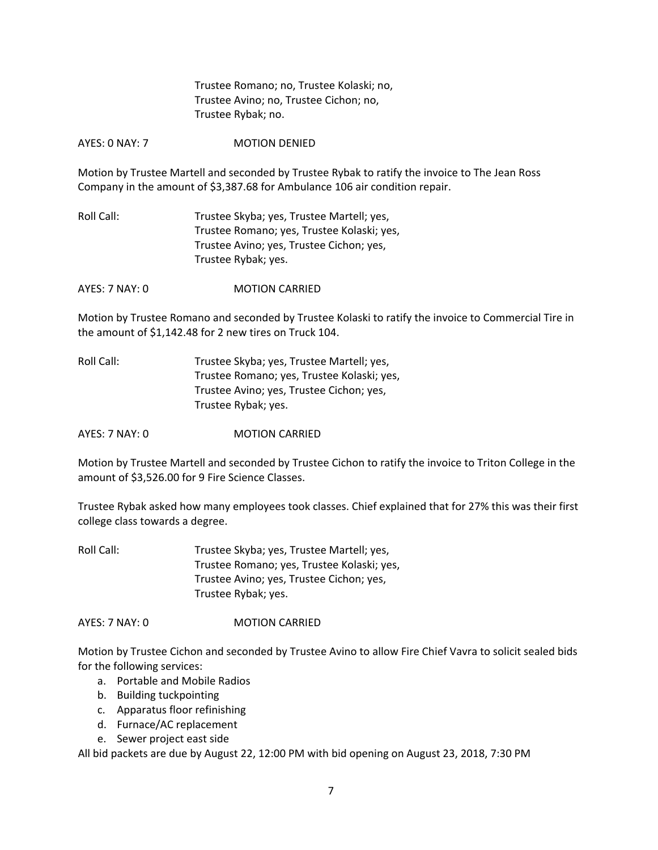Trustee Romano; no, Trustee Kolaski; no, Trustee Avino; no, Trustee Cichon; no, Trustee Rybak; no.

AYES: 0 NAY: 7 MOTION DENIED

Motion by Trustee Martell and seconded by Trustee Rybak to ratify the invoice to The Jean Ross Company in the amount of \$3,387.68 for Ambulance 106 air condition repair.

Roll Call: Trustee Skyba; yes, Trustee Martell; yes, Trustee Romano; yes, Trustee Kolaski; yes, Trustee Avino; yes, Trustee Cichon; yes, Trustee Rybak; yes.

AYES: 7 NAY: 0 MOTION CARRIED

Motion by Trustee Romano and seconded by Trustee Kolaski to ratify the invoice to Commercial Tire in the amount of \$1,142.48 for 2 new tires on Truck 104.

Roll Call: Trustee Skyba; yes, Trustee Martell; yes, Trustee Romano; yes, Trustee Kolaski; yes, Trustee Avino; yes, Trustee Cichon; yes, Trustee Rybak; yes.

AYES: 7 NAY: 0 **MOTION CARRIED** 

Motion by Trustee Martell and seconded by Trustee Cichon to ratify the invoice to Triton College in the amount of \$3,526.00 for 9 Fire Science Classes.

Trustee Rybak asked how many employees took classes. Chief explained that for 27% this was their first college class towards a degree.

Roll Call: Trustee Skyba; yes, Trustee Martell; yes, Trustee Romano; yes, Trustee Kolaski; yes, Trustee Avino; yes, Trustee Cichon; yes, Trustee Rybak; yes.

AYES: 7 NAY: 0 MOTION CARRIED

Motion by Trustee Cichon and seconded by Trustee Avino to allow Fire Chief Vavra to solicit sealed bids for the following services:

- a. Portable and Mobile Radios
- b. Building tuckpointing
- c. Apparatus floor refinishing
- d. Furnace/AC replacement
- e. Sewer project east side

All bid packets are due by August 22, 12:00 PM with bid opening on August 23, 2018, 7:30 PM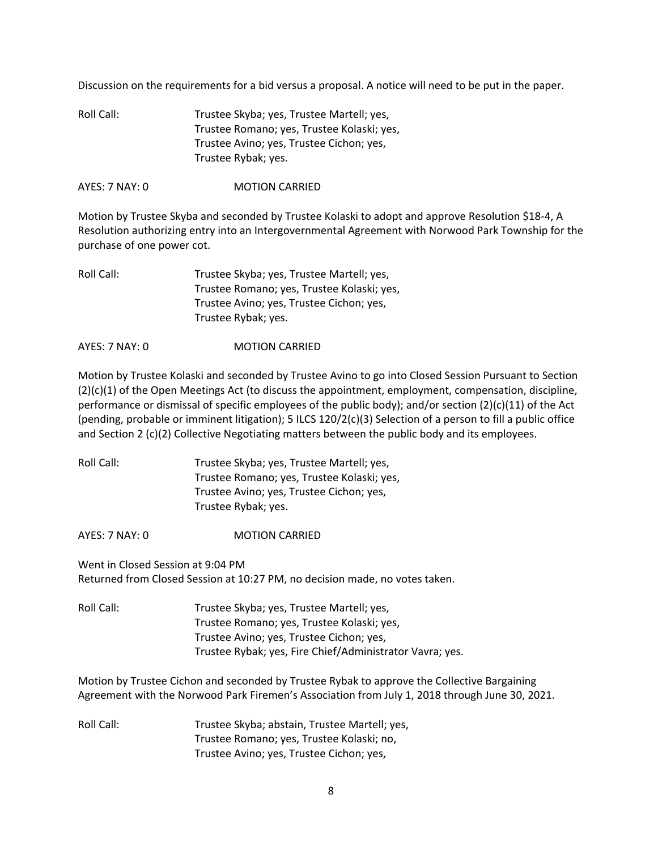Discussion on the requirements for a bid versus a proposal. A notice will need to be put in the paper.

| Roll Call: | Trustee Skyba; yes, Trustee Martell; yes,  |
|------------|--------------------------------------------|
|            | Trustee Romano; yes, Trustee Kolaski; yes, |
|            | Trustee Avino; yes, Trustee Cichon; yes,   |
|            | Trustee Rybak; yes.                        |

AYES: 7 NAY: 0 MOTION CARRIED

Motion by Trustee Skyba and seconded by Trustee Kolaski to adopt and approve Resolution \$18-4, A Resolution authorizing entry into an Intergovernmental Agreement with Norwood Park Township for the purchase of one power cot.

| Roll Call: | Trustee Skyba; yes, Trustee Martell; yes,  |
|------------|--------------------------------------------|
|            | Trustee Romano; yes, Trustee Kolaski; yes, |
|            | Trustee Avino; yes, Trustee Cichon; yes,   |
|            | Trustee Rybak; yes.                        |
|            |                                            |

AYES: 7 NAY: 0 MOTION CARRIED

Motion by Trustee Kolaski and seconded by Trustee Avino to go into Closed Session Pursuant to Section (2)(c)(1) of the Open Meetings Act (to discuss the appointment, employment, compensation, discipline, performance or dismissal of specific employees of the public body); and/or section (2)(c)(11) of the Act (pending, probable or imminent litigation); 5 ILCS 120/2(c)(3) Selection of a person to fill a public office and Section 2 (c)(2) Collective Negotiating matters between the public body and its employees.

| Roll Call: | Trustee Skyba; yes, Trustee Martell; yes,  |
|------------|--------------------------------------------|
|            | Trustee Romano; yes, Trustee Kolaski; yes, |
|            | Trustee Avino; yes, Trustee Cichon; yes,   |
|            | Trustee Rybak; yes.                        |

AYES: 7 NAY: 0 MOTION CARRIED

Went in Closed Session at 9:04 PM Returned from Closed Session at 10:27 PM, no decision made, no votes taken.

Roll Call: Trustee Skyba; yes, Trustee Martell; yes, Trustee Romano; yes, Trustee Kolaski; yes, Trustee Avino; yes, Trustee Cichon; yes, Trustee Rybak; yes, Fire Chief/Administrator Vavra; yes.

Motion by Trustee Cichon and seconded by Trustee Rybak to approve the Collective Bargaining Agreement with the Norwood Park Firemen's Association from July 1, 2018 through June 30, 2021.

Roll Call: Trustee Skyba; abstain, Trustee Martell; yes, Trustee Romano; yes, Trustee Kolaski; no, Trustee Avino; yes, Trustee Cichon; yes,